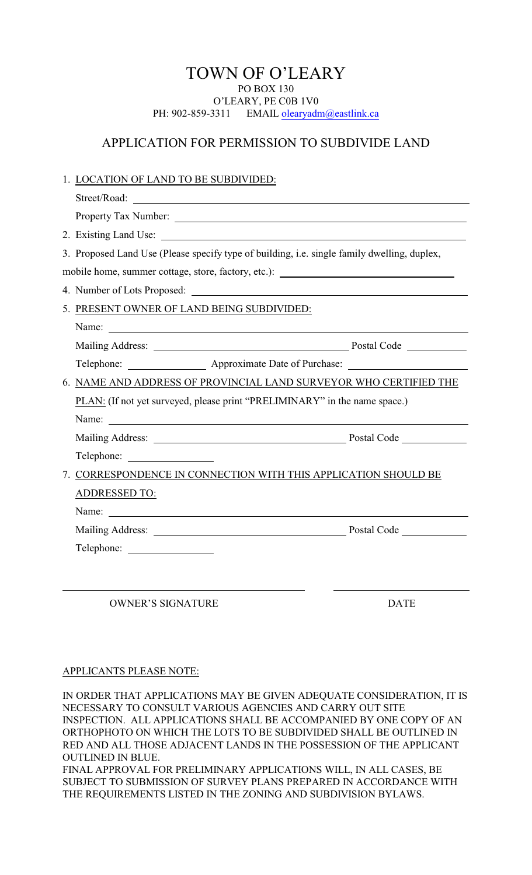## TOWN OF O'LEARY PO BOX 130 O'LEARY, PE C0B 1V0 PH: 902-859-3311 EMAIL olearyadm@eastlink.ca

## APPLICATION FOR PERMISSION TO SUBDIVIDE LAND

|                                                                                   | 1. LOCATION OF LAND TO BE SUBDIVIDED:                                                       |             |
|-----------------------------------------------------------------------------------|---------------------------------------------------------------------------------------------|-------------|
|                                                                                   |                                                                                             |             |
|                                                                                   |                                                                                             |             |
|                                                                                   |                                                                                             |             |
|                                                                                   | 3. Proposed Land Use (Please specify type of building, i.e. single family dwelling, duplex, |             |
| mobile home, summer cottage, store, factory, etc.): _____________________________ |                                                                                             |             |
|                                                                                   |                                                                                             |             |
|                                                                                   | 5. PRESENT OWNER OF LAND BEING SUBDIVIDED:                                                  |             |
|                                                                                   | Name:                                                                                       |             |
|                                                                                   |                                                                                             |             |
|                                                                                   | Telephone: ____________________ Approximate Date of Purchase: __________________            |             |
|                                                                                   | 6. NAME AND ADDRESS OF PROVINCIAL LAND SURVEYOR WHO CERTIFIED THE                           |             |
|                                                                                   | PLAN: (If not yet surveyed, please print "PRELIMINARY" in the name space.)                  |             |
|                                                                                   |                                                                                             |             |
|                                                                                   |                                                                                             |             |
|                                                                                   |                                                                                             |             |
|                                                                                   | 7. CORRESPONDENCE IN CONNECTION WITH THIS APPLICATION SHOULD BE                             |             |
|                                                                                   | <b>ADDRESSED TO:</b>                                                                        |             |
|                                                                                   | Name:                                                                                       |             |
|                                                                                   |                                                                                             |             |
|                                                                                   | Telephone:                                                                                  |             |
|                                                                                   |                                                                                             |             |
|                                                                                   | <b>OWNER'S SIGNATURE</b>                                                                    | <b>DATE</b> |

## APPLICANTS PLEASE NOTE:

IN ORDER THAT APPLICATIONS MAY BE GIVEN ADEQUATE CONSIDERATION, IT IS NECESSARY TO CONSULT VARIOUS AGENCIES AND CARRY OUT SITE INSPECTION. ALL APPLICATIONS SHALL BE ACCOMPANIED BY ONE COPY OF AN ORTHOPHOTO ON WHICH THE LOTS TO BE SUBDIVIDED SHALL BE OUTLINED IN RED AND ALL THOSE ADJACENT LANDS IN THE POSSESSION OF THE APPLICANT OUTLINED IN BLUE. FINAL APPROVAL FOR PRELIMINARY APPLICATIONS WILL, IN ALL CASES, BE SUBJECT TO SUBMISSION OF SURVEY PLANS PREPARED IN ACCORDANCE WITH THE REQUIREMENTS LISTED IN THE ZONING AND SUBDIVISION BYLAWS.